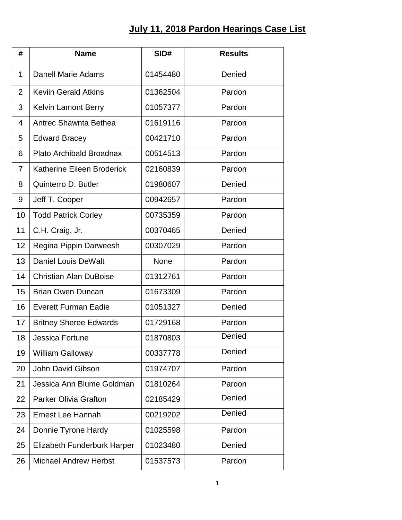## **July 11, 2018 Pardon Hearings Case List**

| #              | <b>Name</b>                        | SID#        | <b>Results</b> |
|----------------|------------------------------------|-------------|----------------|
| $\mathbf 1$    | Danell Marie Adams                 | 01454480    | Denied         |
| $\overline{2}$ | <b>Keviin Gerald Atkins</b>        | 01362504    | Pardon         |
| 3              | <b>Kelvin Lamont Berry</b>         | 01057377    | Pardon         |
| 4              | Antrec Shawnta Bethea              | 01619116    | Pardon         |
| 5              | <b>Edward Bracey</b>               | 00421710    | Pardon         |
| 6              | Plato Archibald Broadnax           | 00514513    | Pardon         |
| $\overline{7}$ | Katherine Eileen Broderick         | 02160839    | Pardon         |
| 8              | Quinterro D. Butler                | 01980607    | Denied         |
| 9              | Jeff T. Cooper                     | 00942657    | Pardon         |
| 10             | <b>Todd Patrick Corley</b>         | 00735359    | Pardon         |
| 11             | C.H. Craig, Jr.                    | 00370465    | Denied         |
| 12             | Regina Pippin Darweesh             | 00307029    | Pardon         |
| 13             | <b>Daniel Louis DeWalt</b>         | <b>None</b> | Pardon         |
| 14             | <b>Christian Alan DuBoise</b>      | 01312761    | Pardon         |
| 15             | <b>Brian Owen Duncan</b>           | 01673309    | Pardon         |
| 16             | <b>Everett Furman Eadie</b>        | 01051327    | Denied         |
| 17             | <b>Britney Sheree Edwards</b>      | 01729168    | Pardon         |
| 18             | Jessica Fortune                    | 01870803    | Denied         |
| 19             | <b>William Galloway</b>            | 00337778    | Denied         |
| 20             | John David Gibson                  | 01974707    | Pardon         |
| 21             | Jessica Ann Blume Goldman          | 01810264    | Pardon         |
| 22             | <b>Parker Olivia Grafton</b>       | 02185429    | Denied         |
| 23             | Ernest Lee Hannah                  | 00219202    | Denied         |
| 24             | Donnie Tyrone Hardy                | 01025598    | Pardon         |
| 25             | <b>Elizabeth Funderburk Harper</b> | 01023480    | Denied         |
| 26             | <b>Michael Andrew Herbst</b>       | 01537573    | Pardon         |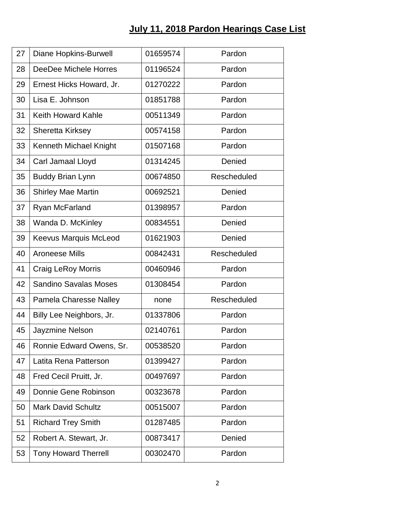## **July 11, 2018 Pardon Hearings Case List**

| 27 | <b>Diane Hopkins-Burwell</b>  | 01659574 | Pardon      |
|----|-------------------------------|----------|-------------|
| 28 | DeeDee Michele Horres         | 01196524 | Pardon      |
| 29 | Ernest Hicks Howard, Jr.      | 01270222 | Pardon      |
| 30 | Lisa E. Johnson               | 01851788 | Pardon      |
| 31 | <b>Keith Howard Kahle</b>     | 00511349 | Pardon      |
| 32 | Sheretta Kirksey              | 00574158 | Pardon      |
| 33 | Kenneth Michael Knight        | 01507168 | Pardon      |
| 34 | Carl Jamaal Lloyd             | 01314245 | Denied      |
| 35 | <b>Buddy Brian Lynn</b>       | 00674850 | Rescheduled |
| 36 | <b>Shirley Mae Martin</b>     | 00692521 | Denied      |
| 37 | Ryan McFarland                | 01398957 | Pardon      |
| 38 | Wanda D. McKinley             | 00834551 | Denied      |
| 39 | <b>Keevus Marquis McLeod</b>  | 01621903 | Denied      |
| 40 | <b>Aroneese Mills</b>         | 00842431 | Rescheduled |
| 41 | <b>Craig LeRoy Morris</b>     | 00460946 | Pardon      |
| 42 | <b>Sandino Savalas Moses</b>  | 01308454 | Pardon      |
| 43 | <b>Pamela Charesse Nalley</b> | none     | Rescheduled |
| 44 | Billy Lee Neighbors, Jr.      | 01337806 | Pardon      |
| 45 | Jayzmine Nelson               | 02140761 | Pardon      |
| 46 | Ronnie Edward Owens, Sr.      | 00538520 | Pardon      |
| 47 | Latita Rena Patterson         | 01399427 | Pardon      |
| 48 | Fred Cecil Pruitt, Jr.        | 00497697 | Pardon      |
| 49 | Donnie Gene Robinson          | 00323678 | Pardon      |
| 50 | <b>Mark David Schultz</b>     | 00515007 | Pardon      |
| 51 | <b>Richard Trey Smith</b>     | 01287485 | Pardon      |
| 52 | Robert A. Stewart, Jr.        | 00873417 | Denied      |
| 53 | <b>Tony Howard Therrell</b>   | 00302470 | Pardon      |